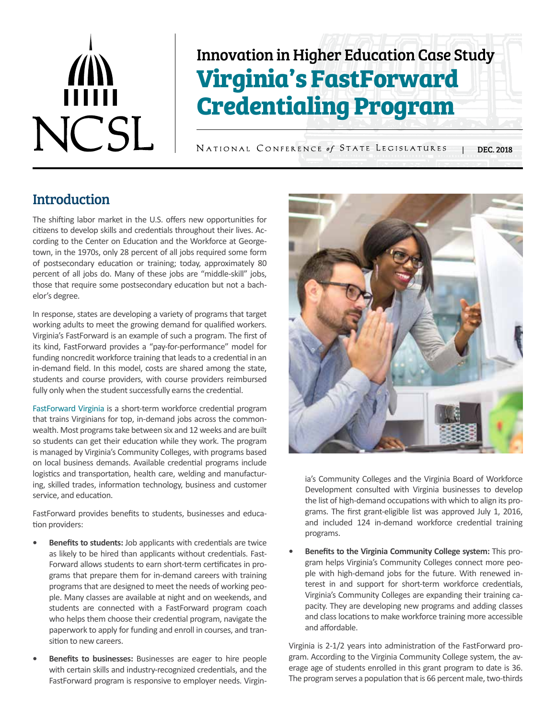# $\vec{m}$ NCSL

# Innovation in Higher Education Case Study **Virginia's FastForward Credentialing Program**

NATIONAL CONFERENCE of STATE LEGISLATURES | DEC. 2018

# **Introduction**

The shifting labor market in the U.S. offers new opportunities for citizens to develop skills and credentials throughout their lives. According to the Center on Education and the Workforce at Georgetown, in the 1970s, only 28 percent of all jobs required some form of postsecondary education or training; today, approximately 80 percent of all jobs do. Many of these jobs are "middle-skill" jobs, those that require some postsecondary education but not a bachelor's degree.

In response, states are developing a variety of programs that target working adults to meet the growing demand for qualified workers. Virginia's FastForward is an example of such a program. The first of its kind, FastForward provides a "pay-for-performance" model for funding noncredit workforce training that leads to a credential in an in-demand field. In this model, costs are shared among the state, students and course providers, with course providers reimbursed fully only when the student successfully earns the credential.

[FastForward Virginia](https://www.fastforwardva.org/) is a short-term workforce credential program that trains Virginians for top, in-demand jobs across the commonwealth. Most programs take between six and 12 weeks and are built so students can get their education while they work. The program is managed by Virginia's Community Colleges, with programs based on local business demands. Available credential programs include logistics and transportation, health care, welding and manufacturing, skilled trades, information technology, business and customer service, and education.

FastForward provides benefits to students, businesses and education providers:

- **• Benefits to students:** Job applicants with credentials are twice as likely to be hired than applicants without credentials. Fast-Forward allows students to earn short-term certificates in programs that prepare them for in-demand careers with training programs that are designed to meet the needs of working people. Many classes are available at night and on weekends, and students are connected with a FastForward program coach who helps them choose their credential program, navigate the paperwork to apply for funding and enroll in courses, and transition to new careers.
- **• Benefits to businesses:** Businesses are eager to hire people with certain skills and industry-recognized credentials, and the FastForward program is responsive to employer needs. Virgin-



ia's Community Colleges and the Virginia Board of Workforce Development consulted with Virginia businesses to develop the list of high-demand occupations with which to align its programs. The first grant-eligible list was approved July 1, 2016, and included 124 in-demand workforce credential training programs.

**• Benefits to the Virginia Community College system:** This program helps Virginia's Community Colleges connect more people with high-demand jobs for the future. With renewed interest in and support for short-term workforce credentials, Virginia's Community Colleges are expanding their training capacity. They are developing new programs and adding classes and class locations to make workforce training more accessible and affordable.

Virginia is 2-1/2 years into administration of the FastForward program. According to the Virginia Community College system, the average age of students enrolled in this grant program to date is 36. The program serves a population that is 66 percent male, two-thirds